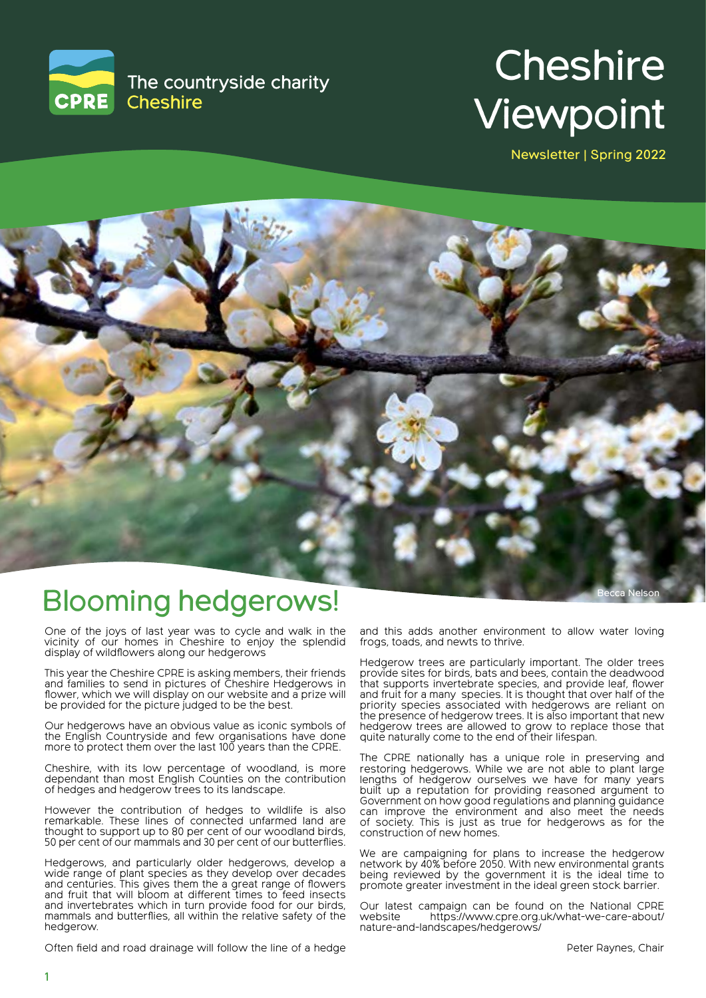

# **Cheshire** Viewpoint

Newsletter | Spring 2022



## Blooming hedgerows!

One of the joys of last year was to cycle and walk in the vicinity of our homes in Cheshire to enjoy the splendid display of wildflowers along our hedgerows

This year the Cheshire CPRE is asking members, their friends and families to send in pictures of Cheshire Hedgerows in flower, which we will display on our website and a prize will be provided for the picture judged to be the best.

Our hedgerows have an obvious value as iconic symbols of the English Countryside and few organisations have done more to protect them over the last 100 years than the CPRE.

Cheshire, with its low percentage of woodland, is more dependant than most English Counties on the contribution of hedges and hedgerow trees to its landscape.

However the contribution of hedges to wildlife is also remarkable. These lines of connected unfarmed land are thought to support up to 80 per cent of our woodland birds, 50 per cent of our mammals and 30 per cent of our butterflies.

Hedgerows, and particularly older hedgerows, develop a wide range of plant species as they develop over decades and centuries. This gives them the a great range of flowers and fruit that will bloom at different times to feed insects and invertebrates which in turn provide food for our birds, mammals and butterflies, all within the relative safety of the hedgerow.

Often field and road drainage will follow the line of a hedge

and this adds another environment to allow water loving frogs, toads, and newts to thrive.

Hedgerow trees are particularly important. The older trees provide sites for birds, bats and bees, contain the deadwood that supports invertebrate species, and provide leaf, flower and fruit for a many species. It is thought that over half of the priority species associated with hedgerows are reliant on the presence of hedgerow trees. It is also important that new hedgerow trees are allowed to grow to replace those that quite naturally come to the end of their lifespan.

The CPRE nationally has a unique role in preserving and restoring hedgerows. While we are not able to plant large lengths of hedgerow ourselves we have for many years built up a reputation for providing reasoned argument to Government on how good regulations and planning guidance can improve the environment and also meet the needs of society. This is just as true for hedgerows as for the construction of new homes.

We are campaigning for plans to increase the hedgerow network by 40% before 2050. With new environmental grants being reviewed by the government it is the ideal time to promote greater investment in the ideal green stock barrier.

Our latest campaign can be found on the National CPRE<br>website https://www.cpre.org.uk/what-we-care-about/ https://www.cpre.org.uk/what-we-care-about/ nature-and-landscapes/hedgerows/

Becca Nelson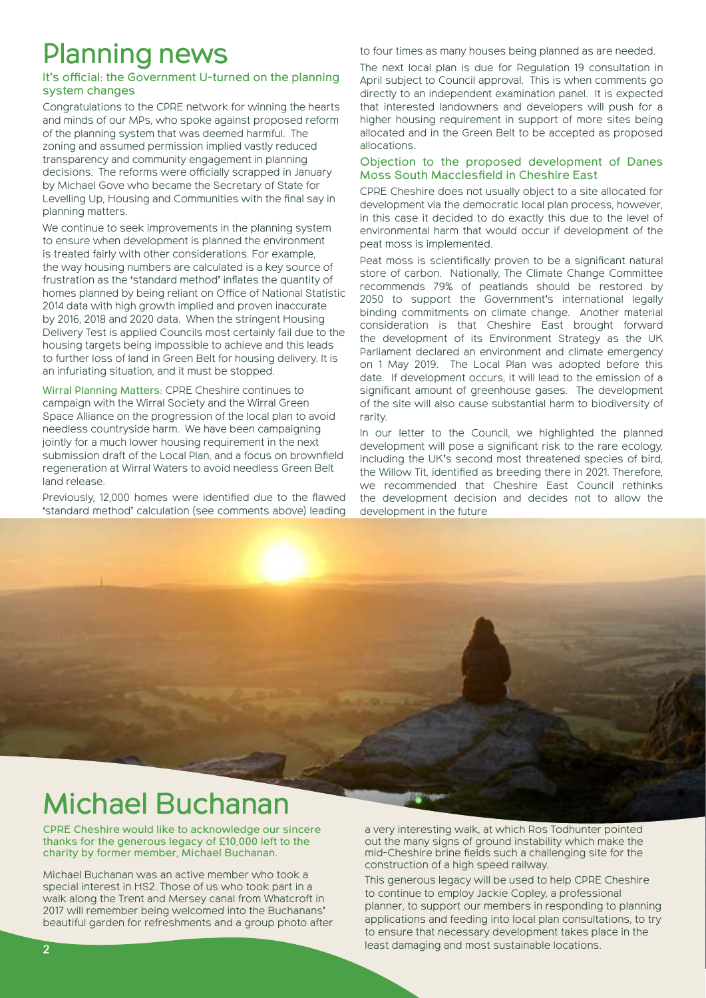# Planning news

#### It's official: the Government U-turned on the planning system changes

Congratulations to the CPRE network for winning the hearts and minds of our MPs, who spoke against proposed reform of the planning system that was deemed harmful. The zoning and assumed permission implied vastly reduced transparency and community engagement in planning decisions. The reforms were officially scrapped in January by Michael Gove who became the Secretary of State for Levelling Up, Housing and Communities with the final say in planning matters.

We continue to seek improvements in the planning system to ensure when development is planned the environment is treated fairly with other considerations. For example, the way housing numbers are calculated is a key source of frustration as the 'standard method' inflates the quantity of homes planned by being reliant on Office of National Statistic 2014 data with high growth implied and proven inaccurate by 2016, 2018 and 2020 data. When the stringent Housing Delivery Test is applied Councils most certainly fail due to the housing targets being impossible to achieve and this leads to further loss of land in Green Belt for housing delivery. It is an infuriating situation, and it must be stopped.

Wirral Planning Matters: CPRE Cheshire continues to campaign with the Wirral Society and the Wirral Green Space Alliance on the progression of the local plan to avoid needless countryside harm. We have been campaigning jointly for a much lower housing requirement in the next submission draft of the Local Plan, and a focus on brownfield regeneration at Wirral Waters to avoid needless Green Belt land release.

Previously, 12,000 homes were identified due to the flawed 'standard method' calculation (see comments above) leading to four times as many houses being planned as are needed.

The next local plan is due for Regulation 19 consultation in April subject to Council approval. This is when comments go directly to an independent examination panel. It is expected that interested landowners and developers will push for a higher housing requirement in support of more sites being allocated and in the Green Belt to be accepted as proposed allocations.

#### Objection to the proposed development of Danes Moss South Macclesfield in Cheshire East

CPRE Cheshire does not usually object to a site allocated for development via the democratic local plan process, however, in this case it decided to do exactly this due to the level of environmental harm that would occur if development of the peat moss is implemented.

Peat moss is scientifically proven to be a significant natural store of carbon. Nationally, The Climate Change Committee recommends 79% of peatlands should be restored by 2050 to support the Government's international legally binding commitments on climate change. Another material consideration is that Cheshire East brought forward the development of its Environment Strategy as the UK Parliament declared an environment and climate emergency on 1 May 2019. The Local Plan was adopted before this date. If development occurs, it will lead to the emission of a significant amount of greenhouse gases. The development of the site will also cause substantial harm to biodiversity of rarity.

In our letter to the Council, we highlighted the planned development will pose a significant risk to the rare ecology, including the UK's second most threatened species of bird, the Willow Tit, identified as breeding there in 2021. Therefore, we recommended that Cheshire East Council rethinks the development decision and decides not to allow the development in the future

# Michael Buchanan

CPRE Cheshire would like to acknowledge our sincere thanks for the generous legacy of £10,000 left to the charity by former member, Michael Buchanan.

Michael Buchanan was an active member who took a special interest in HS2. Those of us who took part in a walk along the Trent and Mersey canal from Whatcroft in 2017 will remember being welcomed into the Buchanans' beautiful garden for refreshments and a group photo after a very interesting walk, at which Ros Todhunter pointed out the many signs of ground instability which make the mid-Cheshire brine fields such a challenging site for the construction of a high speed railway.

This generous legacy will be used to help CPRE Cheshire to continue to employ Jackie Copley, a professional planner, to support our members in responding to planning applications and feeding into local plan consultations, to try to ensure that necessary development takes place in the least damaging and most sustainable locations.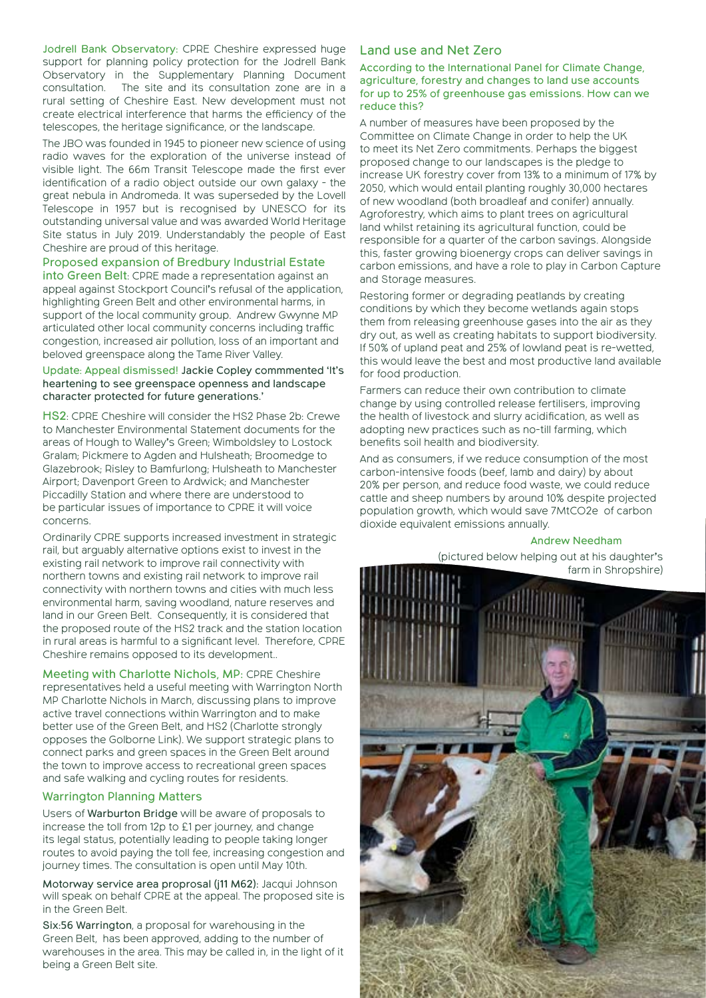Jodrell Bank Observatory: CPRE Cheshire expressed huge support for planning policy protection for the Jodrell Bank Observatory in the Supplementary Planning Document consultation. The site and its consultation zone are in a rural setting of Cheshire East. New development must not create electrical interference that harms the efficiency of the telescopes, the heritage significance, or the landscape.

The JBO was founded in 1945 to pioneer new science of using radio waves for the exploration of the universe instead of visible light. The 66m Transit Telescope made the first ever identification of a radio object outside our own galaxy - the great nebula in Andromeda. It was superseded by the Lovell Telescope in 1957 but is recognised by UNESCO for its outstanding universal value and was awarded World Heritage Site status in July 2019. Understandably the people of East Cheshire are proud of this heritage.

#### Proposed expansion of Bredbury Industrial Estate

into Green Belt: CPRE made a representation against an appeal against Stockport Council's refusal of the application, highlighting Green Belt and other environmental harms, in support of the local community group. Andrew Gwynne MP articulated other local community concerns including traffic congestion, increased air pollution, loss of an important and beloved greenspace along the Tame River Valley.

#### Update: Appeal dismissed! Jackie Copley commmented 'It's heartening to see greenspace openness and landscape character protected for future generations.'

HS2: CPRE Cheshire will consider the HS2 Phase 2b: Crewe to Manchester Environmental Statement documents for the areas of Hough to Walley's Green; Wimboldsley to Lostock Gralam; Pickmere to Agden and Hulsheath; Broomedge to Glazebrook; Risley to Bamfurlong; Hulsheath to Manchester Airport; Davenport Green to Ardwick; and Manchester Piccadilly Station and where there are understood to be particular issues of importance to CPRE it will voice concerns.

Ordinarily CPRE supports increased investment in strategic rail, but arguably alternative options exist to invest in the existing rail network to improve rail connectivity with northern towns and existing rail network to improve rail connectivity with northern towns and cities with much less environmental harm, saving woodland, nature reserves and land in our Green Belt. Consequently, it is considered that the proposed route of the HS2 track and the station location in rural areas is harmful to a significant level. Therefore, CPRE Cheshire remains opposed to its development..

Meeting with Charlotte Nichols, MP: CPRE Cheshire representatives held a useful meeting with Warrington North MP Charlotte Nichols in March, discussing plans to improve active travel connections within Warrington and to make better use of the Green Belt, and HS2 (Charlotte strongly opposes the Golborne Link). We support strategic plans to connect parks and green spaces in the Green Belt around the town to improve access to recreational green spaces and safe walking and cycling routes for residents.

#### Warrington Planning Matters

Users of Warburton Bridge will be aware of proposals to increase the toll from 12p to £1 per journey, and change its legal status, potentially leading to people taking longer routes to avoid paying the toll fee, increasing congestion and journey times. The consultation is open until May 10th.

Motorway service area proprosal (j11 M62): Jacqui Johnson will speak on behalf CPRE at the appeal. The proposed site is in the Green Belt.

Six:56 Warrington, a proposal for warehousing in the Green Belt, has been approved, adding to the number of warehouses in the area. This may be called in, in the light of it being a Green Belt site.

### Land use and Net Zero

According to the International Panel for Climate Change, agriculture, forestry and changes to land use accounts for up to 25% of greenhouse gas emissions. How can we reduce this?

A number of measures have been proposed by the Committee on Climate Change in order to help the UK to meet its Net Zero commitments. Perhaps the biggest proposed change to our landscapes is the pledge to increase UK forestry cover from 13% to a minimum of 17% by 2050, which would entail planting roughly 30,000 hectares of new woodland (both broadleaf and conifer) annually. Agroforestry, which aims to plant trees on agricultural land whilst retaining its agricultural function, could be responsible for a quarter of the carbon savings. Alongside this, faster growing bioenergy crops can deliver savings in carbon emissions, and have a role to play in Carbon Capture and Storage measures.

Restoring former or degrading peatlands by creating conditions by which they become wetlands again stops them from releasing greenhouse gases into the air as they dry out, as well as creating habitats to support biodiversity. If 50% of upland peat and 25% of lowland peat is re-wetted, this would leave the best and most productive land available for food production.

Farmers can reduce their own contribution to climate change by using controlled release fertilisers, improving the health of livestock and slurry acidification, as well as adopting new practices such as no-till farming, which benefits soil health and biodiversity.

And as consumers, if we reduce consumption of the most carbon-intensive foods (beef, lamb and dairy) by about 20% per person, and reduce food waste, we could reduce cattle and sheep numbers by around 10% despite projected population growth, which would save 7MtCO2e of carbon dioxide equivalent emissions annually.

#### Andrew Needham

(pictured below helping out at his daughter's farm in Shropshire)